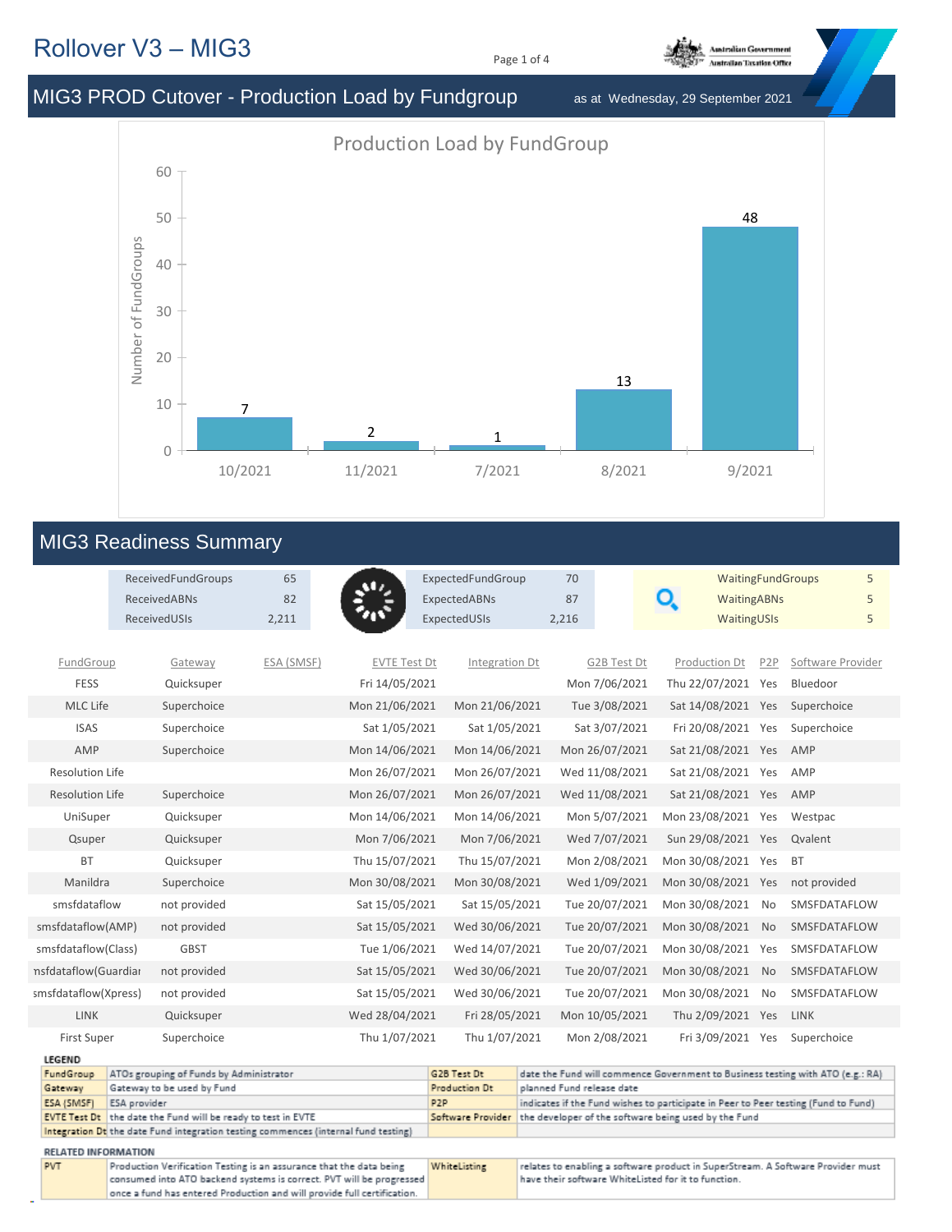## Rollover V3 – MIG3

Page 1 of 4



MIG3 PROD Cutover - Production Load by Fundgroup as at Wednesday, 29 September 2021

Production Load by FundGroup



## MIG3 Readiness Summary

|                        |                            | ReceivedFundGroups<br><b>ReceivedABNs</b><br>ReceivedUSIs                          | 65<br>82<br>2,211 | رتاق                                                                 | ExpectedFundGroup<br>ExpectedABNs<br>ExpectedUSIs | 70<br>87<br>2,216         |                | Q<br><b>WaitingABNs</b><br>WaitingUSIs                                             |                  | <b>WaitingFundGroups</b><br>5<br>5<br>5 |
|------------------------|----------------------------|------------------------------------------------------------------------------------|-------------------|----------------------------------------------------------------------|---------------------------------------------------|---------------------------|----------------|------------------------------------------------------------------------------------|------------------|-----------------------------------------|
| FundGroup              |                            | Gateway                                                                            | ESA (SMSF)        | <b>EVTE Test Dt</b>                                                  | Integration Dt                                    |                           | G2B Test Dt    | Production Dt                                                                      | P <sub>2</sub> P | Software Provider                       |
| <b>FESS</b>            |                            | Quicksuper                                                                         |                   | Fri 14/05/2021                                                       |                                                   |                           | Mon 7/06/2021  | Thu 22/07/2021                                                                     | Yes              | Bluedoor                                |
| MLC Life               |                            | Superchoice                                                                        |                   | Mon 21/06/2021                                                       | Mon 21/06/2021                                    |                           | Tue 3/08/2021  | Sat 14/08/2021 Yes                                                                 |                  | Superchoice                             |
| <b>ISAS</b>            |                            | Superchoice                                                                        |                   | Sat 1/05/2021                                                        | Sat 1/05/2021                                     |                           | Sat 3/07/2021  | Fri 20/08/2021 Yes                                                                 |                  | Superchoice                             |
| AMP                    |                            | Superchoice                                                                        |                   | Mon 14/06/2021                                                       | Mon 14/06/2021                                    |                           | Mon 26/07/2021 | Sat 21/08/2021 Yes                                                                 |                  | AMP                                     |
| Resolution Life        |                            |                                                                                    |                   | Mon 26/07/2021                                                       | Mon 26/07/2021                                    |                           | Wed 11/08/2021 | Sat 21/08/2021 Yes                                                                 |                  | AMP                                     |
| <b>Resolution Life</b> |                            | Superchoice                                                                        |                   | Mon 26/07/2021                                                       | Mon 26/07/2021                                    |                           | Wed 11/08/2021 | Sat 21/08/2021 Yes                                                                 |                  | AMP                                     |
| UniSuper               |                            | Quicksuper                                                                         |                   | Mon 14/06/2021                                                       | Mon 14/06/2021                                    |                           | Mon 5/07/2021  | Mon 23/08/2021 Yes                                                                 |                  | Westpac                                 |
| Qsuper                 |                            | Quicksuper                                                                         |                   | Mon 7/06/2021                                                        | Mon 7/06/2021                                     |                           | Wed 7/07/2021  | Sun 29/08/2021 Yes                                                                 |                  | Qvalent                                 |
| <b>BT</b>              |                            | Quicksuper                                                                         |                   | Thu 15/07/2021                                                       | Thu 15/07/2021                                    |                           | Mon 2/08/2021  | Mon 30/08/2021 Yes                                                                 |                  | <b>BT</b>                               |
| Manildra               |                            | Superchoice                                                                        |                   | Mon 30/08/2021                                                       | Mon 30/08/2021                                    |                           | Wed 1/09/2021  | Mon 30/08/2021 Yes                                                                 |                  | not provided                            |
| smsfdataflow           |                            | not provided                                                                       |                   | Sat 15/05/2021                                                       | Sat 15/05/2021                                    |                           | Tue 20/07/2021 | Mon 30/08/2021                                                                     | No               | SMSFDATAFLOW                            |
| smsfdataflow(AMP)      |                            | not provided                                                                       |                   | Sat 15/05/2021                                                       | Wed 30/06/2021                                    |                           | Tue 20/07/2021 | Mon 30/08/2021                                                                     | <b>No</b>        | SMSFDATAFLOW                            |
| smsfdataflow(Class)    |                            | <b>GBST</b>                                                                        |                   | Tue 1/06/2021                                                        | Wed 14/07/2021                                    |                           | Tue 20/07/2021 | Mon 30/08/2021                                                                     | Yes              | SMSFDATAFLOW                            |
| nsfdataflow(Guardiar   |                            | not provided                                                                       |                   | Sat 15/05/2021                                                       | Wed 30/06/2021                                    |                           | Tue 20/07/2021 | Mon 30/08/2021                                                                     | <b>No</b>        | SMSFDATAFLOW                            |
| smsfdataflow(Xpress)   |                            | not provided                                                                       |                   | Sat 15/05/2021                                                       | Wed 30/06/2021                                    |                           | Tue 20/07/2021 | Mon 30/08/2021                                                                     | <b>No</b>        | SMSFDATAFLOW                            |
| <b>LINK</b>            |                            | Quicksuper                                                                         |                   | Wed 28/04/2021                                                       | Fri 28/05/2021                                    |                           | Mon 10/05/2021 | Thu 2/09/2021 Yes                                                                  |                  | LINK                                    |
| <b>First Super</b>     |                            | Superchoice                                                                        |                   | Thu 1/07/2021                                                        | Thu 1/07/2021                                     |                           | Mon 2/08/2021  | Fri 3/09/2021 Yes                                                                  |                  | Superchoice                             |
| <b>LEGEND</b>          |                            |                                                                                    |                   |                                                                      |                                                   |                           |                |                                                                                    |                  |                                         |
| FundGroup              |                            | ATOs grouping of Funds by Administrator<br>Gateway to be used by Fund              |                   |                                                                      | G2B Test Dt<br>Production Dt                      | planned Fund release date |                | date the Fund will commence Government to Business testing with ATO (e.g.: RA)     |                  |                                         |
| Gateway<br>ESA (SMSF)  | ESA provider               |                                                                                    |                   |                                                                      | P <sub>2</sub> P                                  |                           |                | indicates if the Fund wishes to participate in Peer to Peer testing (Fund to Fund) |                  |                                         |
|                        |                            | EVTE Test Dt the date the Fund will be ready to test in EVTE                       |                   |                                                                      | Software Provider                                 |                           |                | the developer of the software being used by the Fund                               |                  |                                         |
|                        |                            | Integration Dt the date Fund integration testing commences (internal fund testing) |                   |                                                                      |                                                   |                           |                |                                                                                    |                  |                                         |
|                        | <b>RELATED INFORMATION</b> |                                                                                    |                   |                                                                      |                                                   |                           |                |                                                                                    |                  |                                         |
| <b>PVT</b>             |                            | Production Verification Testing is an assurance that the data being                |                   |                                                                      | WhiteListing                                      |                           |                | relates to enabling a software product in SuperStream. A Software Provider must    |                  |                                         |
|                        |                            |                                                                                    |                   | consumed into ATO backend systems is correct. PVT will be progressed |                                                   |                           |                | have their software WhiteListed for it to function.                                |                  |                                         |
|                        |                            | once a fund has entered Production and will provide full certification.            |                   |                                                                      |                                                   |                           |                |                                                                                    |                  |                                         |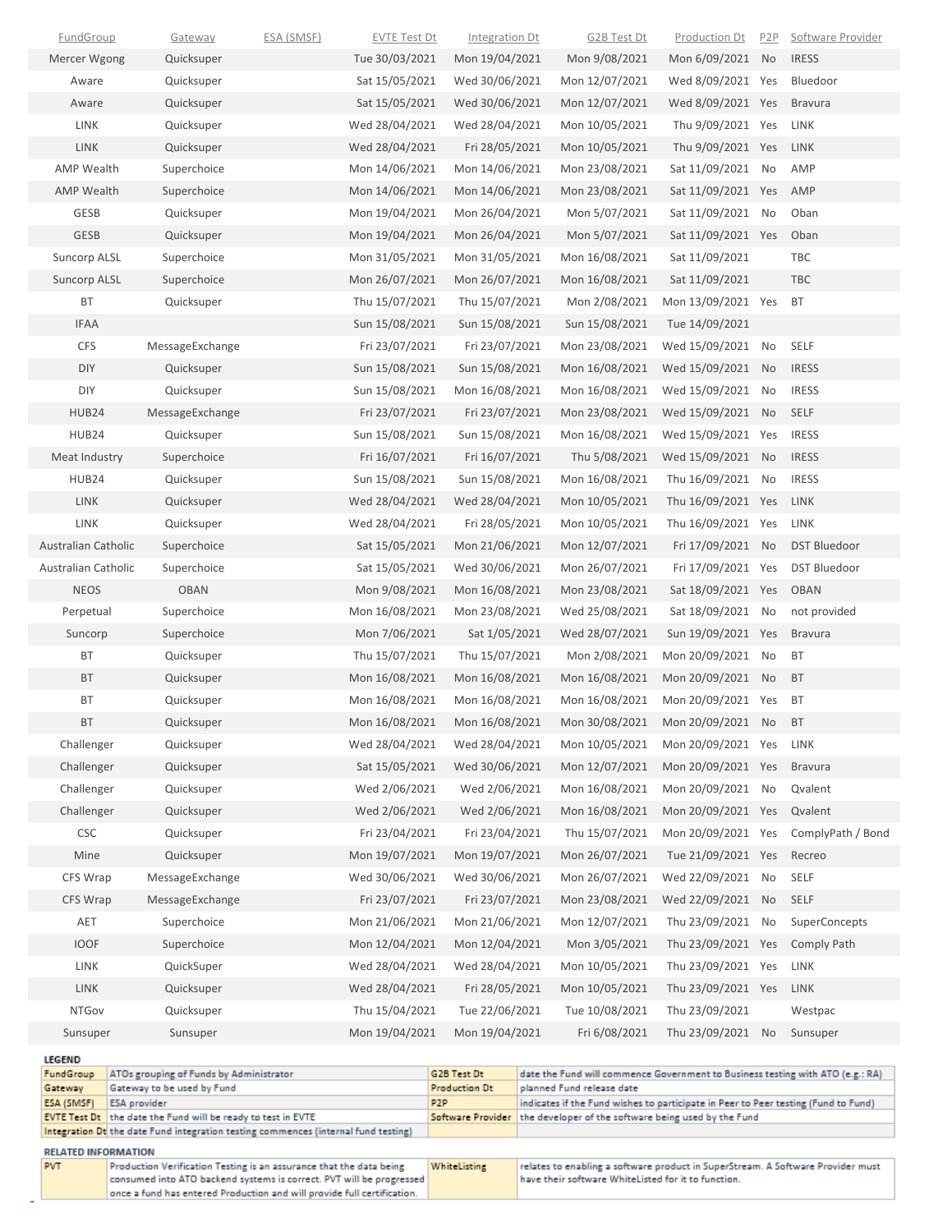| <b>IRESS</b><br>Tue 30/03/2021<br>Mon 19/04/2021<br>Mon 9/08/2021<br>Mon 6/09/2021<br>No<br>Mercer Wgong<br>Quicksuper<br>Quicksuper<br>Sat 15/05/2021<br>Wed 30/06/2021<br>Mon 12/07/2021<br>Wed 8/09/2021 Yes<br>Bluedoor<br>Aware<br>Quicksuper<br>Sat 15/05/2021<br>Wed 30/06/2021<br>Mon 12/07/2021<br>Wed 8/09/2021 Yes<br>Aware<br><b>Bravura</b><br>Wed 28/04/2021<br>Thu 9/09/2021 Yes<br>LINK<br>Quicksuper<br>Wed 28/04/2021<br>Mon 10/05/2021<br>LINK<br>LINK<br>Wed 28/04/2021<br>Thu 9/09/2021 Yes<br>Quicksuper<br>Fri 28/05/2021<br>Mon 10/05/2021<br>LINK<br><b>AMP Wealth</b><br>Superchoice<br>Mon 14/06/2021<br>Mon 14/06/2021<br>Mon 23/08/2021<br>Sat 11/09/2021<br>No<br>AMP<br><b>AMP Wealth</b><br>Mon 14/06/2021<br>Mon 14/06/2021<br>Sat 11/09/2021 Yes<br>AMP<br>Superchoice<br>Mon 23/08/2021<br>GESB<br>Mon 19/04/2021<br>Sat 11/09/2021<br>Quicksuper<br>Mon 26/04/2021<br>Mon 5/07/2021<br>No<br>Oban<br><b>GESB</b><br>Sat 11/09/2021 Yes<br>Quicksuper<br>Mon 19/04/2021<br>Mon 26/04/2021<br>Mon 5/07/2021<br>Oban<br>Mon 31/05/2021<br><b>Suncorp ALSL</b><br>Superchoice<br>Mon 31/05/2021<br>Mon 16/08/2021<br>Sat 11/09/2021<br>TBC<br>Mon 26/07/2021<br><b>Suncorp ALSL</b><br>Superchoice<br>Mon 26/07/2021<br>Mon 16/08/2021<br>Sat 11/09/2021<br><b>TBC</b><br>Thu 15/07/2021<br>Thu 15/07/2021<br>Mon 2/08/2021<br>Mon 13/09/2021 Yes<br>ВT<br>Quicksuper<br>BT<br>Sun 15/08/2021<br>Sun 15/08/2021<br><b>IFAA</b><br>Sun 15/08/2021<br>Tue 14/09/2021<br><b>CFS</b><br>MessageExchange<br>Fri 23/07/2021<br>Fri 23/07/2021<br>Mon 23/08/2021<br>Wed 15/09/2021<br>No<br>SELF<br>DIY<br>Sun 15/08/2021<br>Mon 16/08/2021<br><b>IRESS</b><br>Quicksuper<br>Sun 15/08/2021<br>Wed 15/09/2021<br>No<br>DIY<br>Sun 15/08/2021<br>Quicksuper<br>Mon 16/08/2021<br>Mon 16/08/2021<br>Wed 15/09/2021<br>No<br><b>IRESS</b><br>HUB24<br>Fri 23/07/2021<br>Mon 23/08/2021<br><b>SELF</b><br>MessageExchange<br>Fri 23/07/2021<br>Wed 15/09/2021<br>No<br>HUB24<br>Sun 15/08/2021<br>Wed 15/09/2021 Yes<br><b>IRESS</b><br>Quicksuper<br>Sun 15/08/2021<br>Mon 16/08/2021<br><b>IRESS</b><br>Meat Industry<br>Superchoice<br>Fri 16/07/2021<br>Fri 16/07/2021<br>Thu 5/08/2021<br>Wed 15/09/2021<br>No<br>Sun 15/08/2021<br>Thu 16/09/2021<br><b>IRESS</b><br>HUB24<br>Quicksuper<br>Sun 15/08/2021<br>Mon 16/08/2021<br>No<br>LINK<br>Wed 28/04/2021<br>Wed 28/04/2021<br>Mon 10/05/2021<br>Thu 16/09/2021 Yes<br>LINK<br>Quicksuper<br>LINK<br>Wed 28/04/2021<br>Fri 28/05/2021<br>Mon 10/05/2021<br>Thu 16/09/2021 Yes<br>LINK<br>Quicksuper<br>Australian Catholic<br>Sat 15/05/2021<br>Mon 21/06/2021<br>Mon 12/07/2021<br>Fri 17/09/2021 No<br><b>DST Bluedoor</b><br>Superchoice<br>Sat 15/05/2021<br>Fri 17/09/2021<br>Australian Catholic<br>Wed 30/06/2021<br>Mon 26/07/2021<br>Yes<br><b>DST Bluedoor</b><br>Superchoice<br>Mon 9/08/2021<br>Mon 16/08/2021<br>Mon 23/08/2021<br>Sat 18/09/2021 Yes<br><b>OBAN</b><br><b>NEOS</b><br><b>OBAN</b><br>Perpetual<br>Superchoice<br>Mon 16/08/2021<br>Mon 23/08/2021<br>Wed 25/08/2021<br>Sat 18/09/2021 No<br>not provided<br>Suncorp<br>Superchoice<br>Mon 7/06/2021<br>Sat 1/05/2021<br>Wed 28/07/2021<br>Sun 19/09/2021 Yes<br><b>Bravura</b><br>Thu 15/07/2021<br>Mon 2/08/2021<br>Mon 20/09/2021<br><b>BT</b><br>ВT<br>Quicksuper<br>Thu 15/07/2021<br>No<br><b>BT</b><br>Mon 20/09/2021<br>Quicksuper<br>Mon 16/08/2021<br>Mon 16/08/2021<br>Mon 16/08/2021<br>No<br><b>BT</b><br>BT<br><b>BT</b><br>Quicksuper<br>Mon 16/08/2021<br>Mon 16/08/2021<br>Mon 16/08/2021<br>Mon 20/09/2021 Yes<br>Mon 16/08/2021<br>Mon 16/08/2021<br>Mon 20/09/2021<br>ВT<br>Quicksuper<br>Mon 30/08/2021<br>BT<br>No<br>Challenger<br>Wed 28/04/2021<br>Wed 28/04/2021<br>Mon 10/05/2021<br>Mon 20/09/2021 Yes<br>Quicksuper<br>LINK<br>Challenger<br>Quicksuper<br>Sat 15/05/2021<br>Wed 30/06/2021<br>Mon 12/07/2021<br>Mon 20/09/2021 Yes<br><b>Bravura</b><br>Challenger<br>Quicksuper<br>Wed 2/06/2021<br>Wed 2/06/2021<br>Mon 16/08/2021<br>Mon 20/09/2021 No<br>Qvalent<br>Challenger<br>Quicksuper<br>Wed 2/06/2021<br>Wed 2/06/2021<br>Mon 16/08/2021<br>Mon 20/09/2021 Yes<br>Qvalent<br><b>CSC</b><br>Quicksuper<br>Fri 23/04/2021<br>Fri 23/04/2021<br>Thu 15/07/2021<br>Mon 20/09/2021 Yes<br>ComplyPath / Bond<br>Mine<br>Quicksuper<br>Mon 19/07/2021<br>Mon 19/07/2021<br>Mon 26/07/2021<br>Tue 21/09/2021 Yes<br>Recreo<br>CFS Wrap<br>MessageExchange<br>Wed 30/06/2021<br>Wed 30/06/2021<br>Mon 26/07/2021<br>Wed 22/09/2021<br>No<br>SELF<br>CFS Wrap<br>Fri 23/07/2021<br>Fri 23/07/2021<br>Mon 23/08/2021<br>Wed 22/09/2021<br>SELF<br>MessageExchange<br>No<br>Mon 21/06/2021<br>Mon 21/06/2021<br>Mon 12/07/2021<br>Thu 23/09/2021<br>SuperConcepts<br>AET<br>Superchoice<br>No<br><b>IOOF</b><br>Mon 12/04/2021<br>Mon 12/04/2021<br>Mon 3/05/2021<br>Thu 23/09/2021 Yes<br>Superchoice<br><b>Comply Path</b><br>LINK<br>Wed 28/04/2021<br>Wed 28/04/2021<br>Mon 10/05/2021<br>Thu 23/09/2021 Yes<br>QuickSuper<br>LINK<br>LINK<br>Quicksuper<br>Wed 28/04/2021<br>Fri 28/05/2021<br>Mon 10/05/2021<br>Thu 23/09/2021 Yes<br>LINK<br><b>NTGov</b><br>Thu 15/04/2021<br>Tue 22/06/2021<br>Tue 10/08/2021<br>Thu 23/09/2021<br>Quicksuper<br>Westpac<br>Mon 19/04/2021<br>Mon 19/04/2021<br>Fri 6/08/2021<br>Thu 23/09/2021<br>Sunsuper<br>Sunsuper<br>No<br>Sunsuper<br><b>LEGEND</b><br>G2B Test Dt<br>FundGroup<br>ATOs grouping of Funds by Administrator<br>date the Fund will commence Government to Business testing with ATO (e.g.: RA) | <b>FundGroup</b> | Gateway | <b>ESA (SMSF)</b> | <b>EVTE Test Dt</b> | Integration Dt | G2B Test Dt | <b>Production Dt</b> | P <sub>2</sub> P | Software Provider |
|-------------------------------------------------------------------------------------------------------------------------------------------------------------------------------------------------------------------------------------------------------------------------------------------------------------------------------------------------------------------------------------------------------------------------------------------------------------------------------------------------------------------------------------------------------------------------------------------------------------------------------------------------------------------------------------------------------------------------------------------------------------------------------------------------------------------------------------------------------------------------------------------------------------------------------------------------------------------------------------------------------------------------------------------------------------------------------------------------------------------------------------------------------------------------------------------------------------------------------------------------------------------------------------------------------------------------------------------------------------------------------------------------------------------------------------------------------------------------------------------------------------------------------------------------------------------------------------------------------------------------------------------------------------------------------------------------------------------------------------------------------------------------------------------------------------------------------------------------------------------------------------------------------------------------------------------------------------------------------------------------------------------------------------------------------------------------------------------------------------------------------------------------------------------------------------------------------------------------------------------------------------------------------------------------------------------------------------------------------------------------------------------------------------------------------------------------------------------------------------------------------------------------------------------------------------------------------------------------------------------------------------------------------------------------------------------------------------------------------------------------------------------------------------------------------------------------------------------------------------------------------------------------------------------------------------------------------------------------------------------------------------------------------------------------------------------------------------------------------------------------------------------------------------------------------------------------------------------------------------------------------------------------------------------------------------------------------------------------------------------------------------------------------------------------------------------------------------------------------------------------------------------------------------------------------------------------------------------------------------------------------------------------------------------------------------------------------------------------------------------------------------------------------------------------------------------------------------------------------------------------------------------------------------------------------------------------------------------------------------------------------------------------------------------------------------------------------------------------------------------------------------------------------------------------------------------------------------------------------------------------------------------------------------------------------------------------------------------------------------------------------------------------------------------------------------------------------------------------------------------------------------------------------------------------------------------------------------------------------------------------------------------------------------------------------------------------------------------------------------------------------------------------------------------------------------------------------------------------------------------------------------------------------------------------------------------------------------------------------------------------------------------------------------------------------------------------------------------------------------------------------------------------------------------------------------------------------------------------------------------------------------------------------------------------------------------------------------------------------------------------------------------------------------------------------------------------------------------------------------------------------------------------------------------------------|------------------|---------|-------------------|---------------------|----------------|-------------|----------------------|------------------|-------------------|
|                                                                                                                                                                                                                                                                                                                                                                                                                                                                                                                                                                                                                                                                                                                                                                                                                                                                                                                                                                                                                                                                                                                                                                                                                                                                                                                                                                                                                                                                                                                                                                                                                                                                                                                                                                                                                                                                                                                                                                                                                                                                                                                                                                                                                                                                                                                                                                                                                                                                                                                                                                                                                                                                                                                                                                                                                                                                                                                                                                                                                                                                                                                                                                                                                                                                                                                                                                                                                                                                                                                                                                                                                                                                                                                                                                                                                                                                                                                                                                                                                                                                                                                                                                                                                                                                                                                                                                                                                                                                                                                                                                                                                                                                                                                                                                                                                                                                                                                                                                                                                                                                                                                                                                                                                                                                                                                                                                                                                                                                                                                                                       |                  |         |                   |                     |                |             |                      |                  |                   |
|                                                                                                                                                                                                                                                                                                                                                                                                                                                                                                                                                                                                                                                                                                                                                                                                                                                                                                                                                                                                                                                                                                                                                                                                                                                                                                                                                                                                                                                                                                                                                                                                                                                                                                                                                                                                                                                                                                                                                                                                                                                                                                                                                                                                                                                                                                                                                                                                                                                                                                                                                                                                                                                                                                                                                                                                                                                                                                                                                                                                                                                                                                                                                                                                                                                                                                                                                                                                                                                                                                                                                                                                                                                                                                                                                                                                                                                                                                                                                                                                                                                                                                                                                                                                                                                                                                                                                                                                                                                                                                                                                                                                                                                                                                                                                                                                                                                                                                                                                                                                                                                                                                                                                                                                                                                                                                                                                                                                                                                                                                                                                       |                  |         |                   |                     |                |             |                      |                  |                   |
|                                                                                                                                                                                                                                                                                                                                                                                                                                                                                                                                                                                                                                                                                                                                                                                                                                                                                                                                                                                                                                                                                                                                                                                                                                                                                                                                                                                                                                                                                                                                                                                                                                                                                                                                                                                                                                                                                                                                                                                                                                                                                                                                                                                                                                                                                                                                                                                                                                                                                                                                                                                                                                                                                                                                                                                                                                                                                                                                                                                                                                                                                                                                                                                                                                                                                                                                                                                                                                                                                                                                                                                                                                                                                                                                                                                                                                                                                                                                                                                                                                                                                                                                                                                                                                                                                                                                                                                                                                                                                                                                                                                                                                                                                                                                                                                                                                                                                                                                                                                                                                                                                                                                                                                                                                                                                                                                                                                                                                                                                                                                                       |                  |         |                   |                     |                |             |                      |                  |                   |
|                                                                                                                                                                                                                                                                                                                                                                                                                                                                                                                                                                                                                                                                                                                                                                                                                                                                                                                                                                                                                                                                                                                                                                                                                                                                                                                                                                                                                                                                                                                                                                                                                                                                                                                                                                                                                                                                                                                                                                                                                                                                                                                                                                                                                                                                                                                                                                                                                                                                                                                                                                                                                                                                                                                                                                                                                                                                                                                                                                                                                                                                                                                                                                                                                                                                                                                                                                                                                                                                                                                                                                                                                                                                                                                                                                                                                                                                                                                                                                                                                                                                                                                                                                                                                                                                                                                                                                                                                                                                                                                                                                                                                                                                                                                                                                                                                                                                                                                                                                                                                                                                                                                                                                                                                                                                                                                                                                                                                                                                                                                                                       |                  |         |                   |                     |                |             |                      |                  |                   |
|                                                                                                                                                                                                                                                                                                                                                                                                                                                                                                                                                                                                                                                                                                                                                                                                                                                                                                                                                                                                                                                                                                                                                                                                                                                                                                                                                                                                                                                                                                                                                                                                                                                                                                                                                                                                                                                                                                                                                                                                                                                                                                                                                                                                                                                                                                                                                                                                                                                                                                                                                                                                                                                                                                                                                                                                                                                                                                                                                                                                                                                                                                                                                                                                                                                                                                                                                                                                                                                                                                                                                                                                                                                                                                                                                                                                                                                                                                                                                                                                                                                                                                                                                                                                                                                                                                                                                                                                                                                                                                                                                                                                                                                                                                                                                                                                                                                                                                                                                                                                                                                                                                                                                                                                                                                                                                                                                                                                                                                                                                                                                       |                  |         |                   |                     |                |             |                      |                  |                   |
|                                                                                                                                                                                                                                                                                                                                                                                                                                                                                                                                                                                                                                                                                                                                                                                                                                                                                                                                                                                                                                                                                                                                                                                                                                                                                                                                                                                                                                                                                                                                                                                                                                                                                                                                                                                                                                                                                                                                                                                                                                                                                                                                                                                                                                                                                                                                                                                                                                                                                                                                                                                                                                                                                                                                                                                                                                                                                                                                                                                                                                                                                                                                                                                                                                                                                                                                                                                                                                                                                                                                                                                                                                                                                                                                                                                                                                                                                                                                                                                                                                                                                                                                                                                                                                                                                                                                                                                                                                                                                                                                                                                                                                                                                                                                                                                                                                                                                                                                                                                                                                                                                                                                                                                                                                                                                                                                                                                                                                                                                                                                                       |                  |         |                   |                     |                |             |                      |                  |                   |
|                                                                                                                                                                                                                                                                                                                                                                                                                                                                                                                                                                                                                                                                                                                                                                                                                                                                                                                                                                                                                                                                                                                                                                                                                                                                                                                                                                                                                                                                                                                                                                                                                                                                                                                                                                                                                                                                                                                                                                                                                                                                                                                                                                                                                                                                                                                                                                                                                                                                                                                                                                                                                                                                                                                                                                                                                                                                                                                                                                                                                                                                                                                                                                                                                                                                                                                                                                                                                                                                                                                                                                                                                                                                                                                                                                                                                                                                                                                                                                                                                                                                                                                                                                                                                                                                                                                                                                                                                                                                                                                                                                                                                                                                                                                                                                                                                                                                                                                                                                                                                                                                                                                                                                                                                                                                                                                                                                                                                                                                                                                                                       |                  |         |                   |                     |                |             |                      |                  |                   |
|                                                                                                                                                                                                                                                                                                                                                                                                                                                                                                                                                                                                                                                                                                                                                                                                                                                                                                                                                                                                                                                                                                                                                                                                                                                                                                                                                                                                                                                                                                                                                                                                                                                                                                                                                                                                                                                                                                                                                                                                                                                                                                                                                                                                                                                                                                                                                                                                                                                                                                                                                                                                                                                                                                                                                                                                                                                                                                                                                                                                                                                                                                                                                                                                                                                                                                                                                                                                                                                                                                                                                                                                                                                                                                                                                                                                                                                                                                                                                                                                                                                                                                                                                                                                                                                                                                                                                                                                                                                                                                                                                                                                                                                                                                                                                                                                                                                                                                                                                                                                                                                                                                                                                                                                                                                                                                                                                                                                                                                                                                                                                       |                  |         |                   |                     |                |             |                      |                  |                   |
|                                                                                                                                                                                                                                                                                                                                                                                                                                                                                                                                                                                                                                                                                                                                                                                                                                                                                                                                                                                                                                                                                                                                                                                                                                                                                                                                                                                                                                                                                                                                                                                                                                                                                                                                                                                                                                                                                                                                                                                                                                                                                                                                                                                                                                                                                                                                                                                                                                                                                                                                                                                                                                                                                                                                                                                                                                                                                                                                                                                                                                                                                                                                                                                                                                                                                                                                                                                                                                                                                                                                                                                                                                                                                                                                                                                                                                                                                                                                                                                                                                                                                                                                                                                                                                                                                                                                                                                                                                                                                                                                                                                                                                                                                                                                                                                                                                                                                                                                                                                                                                                                                                                                                                                                                                                                                                                                                                                                                                                                                                                                                       |                  |         |                   |                     |                |             |                      |                  |                   |
|                                                                                                                                                                                                                                                                                                                                                                                                                                                                                                                                                                                                                                                                                                                                                                                                                                                                                                                                                                                                                                                                                                                                                                                                                                                                                                                                                                                                                                                                                                                                                                                                                                                                                                                                                                                                                                                                                                                                                                                                                                                                                                                                                                                                                                                                                                                                                                                                                                                                                                                                                                                                                                                                                                                                                                                                                                                                                                                                                                                                                                                                                                                                                                                                                                                                                                                                                                                                                                                                                                                                                                                                                                                                                                                                                                                                                                                                                                                                                                                                                                                                                                                                                                                                                                                                                                                                                                                                                                                                                                                                                                                                                                                                                                                                                                                                                                                                                                                                                                                                                                                                                                                                                                                                                                                                                                                                                                                                                                                                                                                                                       |                  |         |                   |                     |                |             |                      |                  |                   |
|                                                                                                                                                                                                                                                                                                                                                                                                                                                                                                                                                                                                                                                                                                                                                                                                                                                                                                                                                                                                                                                                                                                                                                                                                                                                                                                                                                                                                                                                                                                                                                                                                                                                                                                                                                                                                                                                                                                                                                                                                                                                                                                                                                                                                                                                                                                                                                                                                                                                                                                                                                                                                                                                                                                                                                                                                                                                                                                                                                                                                                                                                                                                                                                                                                                                                                                                                                                                                                                                                                                                                                                                                                                                                                                                                                                                                                                                                                                                                                                                                                                                                                                                                                                                                                                                                                                                                                                                                                                                                                                                                                                                                                                                                                                                                                                                                                                                                                                                                                                                                                                                                                                                                                                                                                                                                                                                                                                                                                                                                                                                                       |                  |         |                   |                     |                |             |                      |                  |                   |
|                                                                                                                                                                                                                                                                                                                                                                                                                                                                                                                                                                                                                                                                                                                                                                                                                                                                                                                                                                                                                                                                                                                                                                                                                                                                                                                                                                                                                                                                                                                                                                                                                                                                                                                                                                                                                                                                                                                                                                                                                                                                                                                                                                                                                                                                                                                                                                                                                                                                                                                                                                                                                                                                                                                                                                                                                                                                                                                                                                                                                                                                                                                                                                                                                                                                                                                                                                                                                                                                                                                                                                                                                                                                                                                                                                                                                                                                                                                                                                                                                                                                                                                                                                                                                                                                                                                                                                                                                                                                                                                                                                                                                                                                                                                                                                                                                                                                                                                                                                                                                                                                                                                                                                                                                                                                                                                                                                                                                                                                                                                                                       |                  |         |                   |                     |                |             |                      |                  |                   |
|                                                                                                                                                                                                                                                                                                                                                                                                                                                                                                                                                                                                                                                                                                                                                                                                                                                                                                                                                                                                                                                                                                                                                                                                                                                                                                                                                                                                                                                                                                                                                                                                                                                                                                                                                                                                                                                                                                                                                                                                                                                                                                                                                                                                                                                                                                                                                                                                                                                                                                                                                                                                                                                                                                                                                                                                                                                                                                                                                                                                                                                                                                                                                                                                                                                                                                                                                                                                                                                                                                                                                                                                                                                                                                                                                                                                                                                                                                                                                                                                                                                                                                                                                                                                                                                                                                                                                                                                                                                                                                                                                                                                                                                                                                                                                                                                                                                                                                                                                                                                                                                                                                                                                                                                                                                                                                                                                                                                                                                                                                                                                       |                  |         |                   |                     |                |             |                      |                  |                   |
|                                                                                                                                                                                                                                                                                                                                                                                                                                                                                                                                                                                                                                                                                                                                                                                                                                                                                                                                                                                                                                                                                                                                                                                                                                                                                                                                                                                                                                                                                                                                                                                                                                                                                                                                                                                                                                                                                                                                                                                                                                                                                                                                                                                                                                                                                                                                                                                                                                                                                                                                                                                                                                                                                                                                                                                                                                                                                                                                                                                                                                                                                                                                                                                                                                                                                                                                                                                                                                                                                                                                                                                                                                                                                                                                                                                                                                                                                                                                                                                                                                                                                                                                                                                                                                                                                                                                                                                                                                                                                                                                                                                                                                                                                                                                                                                                                                                                                                                                                                                                                                                                                                                                                                                                                                                                                                                                                                                                                                                                                                                                                       |                  |         |                   |                     |                |             |                      |                  |                   |
|                                                                                                                                                                                                                                                                                                                                                                                                                                                                                                                                                                                                                                                                                                                                                                                                                                                                                                                                                                                                                                                                                                                                                                                                                                                                                                                                                                                                                                                                                                                                                                                                                                                                                                                                                                                                                                                                                                                                                                                                                                                                                                                                                                                                                                                                                                                                                                                                                                                                                                                                                                                                                                                                                                                                                                                                                                                                                                                                                                                                                                                                                                                                                                                                                                                                                                                                                                                                                                                                                                                                                                                                                                                                                                                                                                                                                                                                                                                                                                                                                                                                                                                                                                                                                                                                                                                                                                                                                                                                                                                                                                                                                                                                                                                                                                                                                                                                                                                                                                                                                                                                                                                                                                                                                                                                                                                                                                                                                                                                                                                                                       |                  |         |                   |                     |                |             |                      |                  |                   |
|                                                                                                                                                                                                                                                                                                                                                                                                                                                                                                                                                                                                                                                                                                                                                                                                                                                                                                                                                                                                                                                                                                                                                                                                                                                                                                                                                                                                                                                                                                                                                                                                                                                                                                                                                                                                                                                                                                                                                                                                                                                                                                                                                                                                                                                                                                                                                                                                                                                                                                                                                                                                                                                                                                                                                                                                                                                                                                                                                                                                                                                                                                                                                                                                                                                                                                                                                                                                                                                                                                                                                                                                                                                                                                                                                                                                                                                                                                                                                                                                                                                                                                                                                                                                                                                                                                                                                                                                                                                                                                                                                                                                                                                                                                                                                                                                                                                                                                                                                                                                                                                                                                                                                                                                                                                                                                                                                                                                                                                                                                                                                       |                  |         |                   |                     |                |             |                      |                  |                   |
|                                                                                                                                                                                                                                                                                                                                                                                                                                                                                                                                                                                                                                                                                                                                                                                                                                                                                                                                                                                                                                                                                                                                                                                                                                                                                                                                                                                                                                                                                                                                                                                                                                                                                                                                                                                                                                                                                                                                                                                                                                                                                                                                                                                                                                                                                                                                                                                                                                                                                                                                                                                                                                                                                                                                                                                                                                                                                                                                                                                                                                                                                                                                                                                                                                                                                                                                                                                                                                                                                                                                                                                                                                                                                                                                                                                                                                                                                                                                                                                                                                                                                                                                                                                                                                                                                                                                                                                                                                                                                                                                                                                                                                                                                                                                                                                                                                                                                                                                                                                                                                                                                                                                                                                                                                                                                                                                                                                                                                                                                                                                                       |                  |         |                   |                     |                |             |                      |                  |                   |
|                                                                                                                                                                                                                                                                                                                                                                                                                                                                                                                                                                                                                                                                                                                                                                                                                                                                                                                                                                                                                                                                                                                                                                                                                                                                                                                                                                                                                                                                                                                                                                                                                                                                                                                                                                                                                                                                                                                                                                                                                                                                                                                                                                                                                                                                                                                                                                                                                                                                                                                                                                                                                                                                                                                                                                                                                                                                                                                                                                                                                                                                                                                                                                                                                                                                                                                                                                                                                                                                                                                                                                                                                                                                                                                                                                                                                                                                                                                                                                                                                                                                                                                                                                                                                                                                                                                                                                                                                                                                                                                                                                                                                                                                                                                                                                                                                                                                                                                                                                                                                                                                                                                                                                                                                                                                                                                                                                                                                                                                                                                                                       |                  |         |                   |                     |                |             |                      |                  |                   |
|                                                                                                                                                                                                                                                                                                                                                                                                                                                                                                                                                                                                                                                                                                                                                                                                                                                                                                                                                                                                                                                                                                                                                                                                                                                                                                                                                                                                                                                                                                                                                                                                                                                                                                                                                                                                                                                                                                                                                                                                                                                                                                                                                                                                                                                                                                                                                                                                                                                                                                                                                                                                                                                                                                                                                                                                                                                                                                                                                                                                                                                                                                                                                                                                                                                                                                                                                                                                                                                                                                                                                                                                                                                                                                                                                                                                                                                                                                                                                                                                                                                                                                                                                                                                                                                                                                                                                                                                                                                                                                                                                                                                                                                                                                                                                                                                                                                                                                                                                                                                                                                                                                                                                                                                                                                                                                                                                                                                                                                                                                                                                       |                  |         |                   |                     |                |             |                      |                  |                   |
|                                                                                                                                                                                                                                                                                                                                                                                                                                                                                                                                                                                                                                                                                                                                                                                                                                                                                                                                                                                                                                                                                                                                                                                                                                                                                                                                                                                                                                                                                                                                                                                                                                                                                                                                                                                                                                                                                                                                                                                                                                                                                                                                                                                                                                                                                                                                                                                                                                                                                                                                                                                                                                                                                                                                                                                                                                                                                                                                                                                                                                                                                                                                                                                                                                                                                                                                                                                                                                                                                                                                                                                                                                                                                                                                                                                                                                                                                                                                                                                                                                                                                                                                                                                                                                                                                                                                                                                                                                                                                                                                                                                                                                                                                                                                                                                                                                                                                                                                                                                                                                                                                                                                                                                                                                                                                                                                                                                                                                                                                                                                                       |                  |         |                   |                     |                |             |                      |                  |                   |
|                                                                                                                                                                                                                                                                                                                                                                                                                                                                                                                                                                                                                                                                                                                                                                                                                                                                                                                                                                                                                                                                                                                                                                                                                                                                                                                                                                                                                                                                                                                                                                                                                                                                                                                                                                                                                                                                                                                                                                                                                                                                                                                                                                                                                                                                                                                                                                                                                                                                                                                                                                                                                                                                                                                                                                                                                                                                                                                                                                                                                                                                                                                                                                                                                                                                                                                                                                                                                                                                                                                                                                                                                                                                                                                                                                                                                                                                                                                                                                                                                                                                                                                                                                                                                                                                                                                                                                                                                                                                                                                                                                                                                                                                                                                                                                                                                                                                                                                                                                                                                                                                                                                                                                                                                                                                                                                                                                                                                                                                                                                                                       |                  |         |                   |                     |                |             |                      |                  |                   |
|                                                                                                                                                                                                                                                                                                                                                                                                                                                                                                                                                                                                                                                                                                                                                                                                                                                                                                                                                                                                                                                                                                                                                                                                                                                                                                                                                                                                                                                                                                                                                                                                                                                                                                                                                                                                                                                                                                                                                                                                                                                                                                                                                                                                                                                                                                                                                                                                                                                                                                                                                                                                                                                                                                                                                                                                                                                                                                                                                                                                                                                                                                                                                                                                                                                                                                                                                                                                                                                                                                                                                                                                                                                                                                                                                                                                                                                                                                                                                                                                                                                                                                                                                                                                                                                                                                                                                                                                                                                                                                                                                                                                                                                                                                                                                                                                                                                                                                                                                                                                                                                                                                                                                                                                                                                                                                                                                                                                                                                                                                                                                       |                  |         |                   |                     |                |             |                      |                  |                   |
|                                                                                                                                                                                                                                                                                                                                                                                                                                                                                                                                                                                                                                                                                                                                                                                                                                                                                                                                                                                                                                                                                                                                                                                                                                                                                                                                                                                                                                                                                                                                                                                                                                                                                                                                                                                                                                                                                                                                                                                                                                                                                                                                                                                                                                                                                                                                                                                                                                                                                                                                                                                                                                                                                                                                                                                                                                                                                                                                                                                                                                                                                                                                                                                                                                                                                                                                                                                                                                                                                                                                                                                                                                                                                                                                                                                                                                                                                                                                                                                                                                                                                                                                                                                                                                                                                                                                                                                                                                                                                                                                                                                                                                                                                                                                                                                                                                                                                                                                                                                                                                                                                                                                                                                                                                                                                                                                                                                                                                                                                                                                                       |                  |         |                   |                     |                |             |                      |                  |                   |
|                                                                                                                                                                                                                                                                                                                                                                                                                                                                                                                                                                                                                                                                                                                                                                                                                                                                                                                                                                                                                                                                                                                                                                                                                                                                                                                                                                                                                                                                                                                                                                                                                                                                                                                                                                                                                                                                                                                                                                                                                                                                                                                                                                                                                                                                                                                                                                                                                                                                                                                                                                                                                                                                                                                                                                                                                                                                                                                                                                                                                                                                                                                                                                                                                                                                                                                                                                                                                                                                                                                                                                                                                                                                                                                                                                                                                                                                                                                                                                                                                                                                                                                                                                                                                                                                                                                                                                                                                                                                                                                                                                                                                                                                                                                                                                                                                                                                                                                                                                                                                                                                                                                                                                                                                                                                                                                                                                                                                                                                                                                                                       |                  |         |                   |                     |                |             |                      |                  |                   |
|                                                                                                                                                                                                                                                                                                                                                                                                                                                                                                                                                                                                                                                                                                                                                                                                                                                                                                                                                                                                                                                                                                                                                                                                                                                                                                                                                                                                                                                                                                                                                                                                                                                                                                                                                                                                                                                                                                                                                                                                                                                                                                                                                                                                                                                                                                                                                                                                                                                                                                                                                                                                                                                                                                                                                                                                                                                                                                                                                                                                                                                                                                                                                                                                                                                                                                                                                                                                                                                                                                                                                                                                                                                                                                                                                                                                                                                                                                                                                                                                                                                                                                                                                                                                                                                                                                                                                                                                                                                                                                                                                                                                                                                                                                                                                                                                                                                                                                                                                                                                                                                                                                                                                                                                                                                                                                                                                                                                                                                                                                                                                       |                  |         |                   |                     |                |             |                      |                  |                   |
|                                                                                                                                                                                                                                                                                                                                                                                                                                                                                                                                                                                                                                                                                                                                                                                                                                                                                                                                                                                                                                                                                                                                                                                                                                                                                                                                                                                                                                                                                                                                                                                                                                                                                                                                                                                                                                                                                                                                                                                                                                                                                                                                                                                                                                                                                                                                                                                                                                                                                                                                                                                                                                                                                                                                                                                                                                                                                                                                                                                                                                                                                                                                                                                                                                                                                                                                                                                                                                                                                                                                                                                                                                                                                                                                                                                                                                                                                                                                                                                                                                                                                                                                                                                                                                                                                                                                                                                                                                                                                                                                                                                                                                                                                                                                                                                                                                                                                                                                                                                                                                                                                                                                                                                                                                                                                                                                                                                                                                                                                                                                                       |                  |         |                   |                     |                |             |                      |                  |                   |
|                                                                                                                                                                                                                                                                                                                                                                                                                                                                                                                                                                                                                                                                                                                                                                                                                                                                                                                                                                                                                                                                                                                                                                                                                                                                                                                                                                                                                                                                                                                                                                                                                                                                                                                                                                                                                                                                                                                                                                                                                                                                                                                                                                                                                                                                                                                                                                                                                                                                                                                                                                                                                                                                                                                                                                                                                                                                                                                                                                                                                                                                                                                                                                                                                                                                                                                                                                                                                                                                                                                                                                                                                                                                                                                                                                                                                                                                                                                                                                                                                                                                                                                                                                                                                                                                                                                                                                                                                                                                                                                                                                                                                                                                                                                                                                                                                                                                                                                                                                                                                                                                                                                                                                                                                                                                                                                                                                                                                                                                                                                                                       |                  |         |                   |                     |                |             |                      |                  |                   |
|                                                                                                                                                                                                                                                                                                                                                                                                                                                                                                                                                                                                                                                                                                                                                                                                                                                                                                                                                                                                                                                                                                                                                                                                                                                                                                                                                                                                                                                                                                                                                                                                                                                                                                                                                                                                                                                                                                                                                                                                                                                                                                                                                                                                                                                                                                                                                                                                                                                                                                                                                                                                                                                                                                                                                                                                                                                                                                                                                                                                                                                                                                                                                                                                                                                                                                                                                                                                                                                                                                                                                                                                                                                                                                                                                                                                                                                                                                                                                                                                                                                                                                                                                                                                                                                                                                                                                                                                                                                                                                                                                                                                                                                                                                                                                                                                                                                                                                                                                                                                                                                                                                                                                                                                                                                                                                                                                                                                                                                                                                                                                       |                  |         |                   |                     |                |             |                      |                  |                   |
|                                                                                                                                                                                                                                                                                                                                                                                                                                                                                                                                                                                                                                                                                                                                                                                                                                                                                                                                                                                                                                                                                                                                                                                                                                                                                                                                                                                                                                                                                                                                                                                                                                                                                                                                                                                                                                                                                                                                                                                                                                                                                                                                                                                                                                                                                                                                                                                                                                                                                                                                                                                                                                                                                                                                                                                                                                                                                                                                                                                                                                                                                                                                                                                                                                                                                                                                                                                                                                                                                                                                                                                                                                                                                                                                                                                                                                                                                                                                                                                                                                                                                                                                                                                                                                                                                                                                                                                                                                                                                                                                                                                                                                                                                                                                                                                                                                                                                                                                                                                                                                                                                                                                                                                                                                                                                                                                                                                                                                                                                                                                                       |                  |         |                   |                     |                |             |                      |                  |                   |
|                                                                                                                                                                                                                                                                                                                                                                                                                                                                                                                                                                                                                                                                                                                                                                                                                                                                                                                                                                                                                                                                                                                                                                                                                                                                                                                                                                                                                                                                                                                                                                                                                                                                                                                                                                                                                                                                                                                                                                                                                                                                                                                                                                                                                                                                                                                                                                                                                                                                                                                                                                                                                                                                                                                                                                                                                                                                                                                                                                                                                                                                                                                                                                                                                                                                                                                                                                                                                                                                                                                                                                                                                                                                                                                                                                                                                                                                                                                                                                                                                                                                                                                                                                                                                                                                                                                                                                                                                                                                                                                                                                                                                                                                                                                                                                                                                                                                                                                                                                                                                                                                                                                                                                                                                                                                                                                                                                                                                                                                                                                                                       |                  |         |                   |                     |                |             |                      |                  |                   |
|                                                                                                                                                                                                                                                                                                                                                                                                                                                                                                                                                                                                                                                                                                                                                                                                                                                                                                                                                                                                                                                                                                                                                                                                                                                                                                                                                                                                                                                                                                                                                                                                                                                                                                                                                                                                                                                                                                                                                                                                                                                                                                                                                                                                                                                                                                                                                                                                                                                                                                                                                                                                                                                                                                                                                                                                                                                                                                                                                                                                                                                                                                                                                                                                                                                                                                                                                                                                                                                                                                                                                                                                                                                                                                                                                                                                                                                                                                                                                                                                                                                                                                                                                                                                                                                                                                                                                                                                                                                                                                                                                                                                                                                                                                                                                                                                                                                                                                                                                                                                                                                                                                                                                                                                                                                                                                                                                                                                                                                                                                                                                       |                  |         |                   |                     |                |             |                      |                  |                   |
|                                                                                                                                                                                                                                                                                                                                                                                                                                                                                                                                                                                                                                                                                                                                                                                                                                                                                                                                                                                                                                                                                                                                                                                                                                                                                                                                                                                                                                                                                                                                                                                                                                                                                                                                                                                                                                                                                                                                                                                                                                                                                                                                                                                                                                                                                                                                                                                                                                                                                                                                                                                                                                                                                                                                                                                                                                                                                                                                                                                                                                                                                                                                                                                                                                                                                                                                                                                                                                                                                                                                                                                                                                                                                                                                                                                                                                                                                                                                                                                                                                                                                                                                                                                                                                                                                                                                                                                                                                                                                                                                                                                                                                                                                                                                                                                                                                                                                                                                                                                                                                                                                                                                                                                                                                                                                                                                                                                                                                                                                                                                                       |                  |         |                   |                     |                |             |                      |                  |                   |
|                                                                                                                                                                                                                                                                                                                                                                                                                                                                                                                                                                                                                                                                                                                                                                                                                                                                                                                                                                                                                                                                                                                                                                                                                                                                                                                                                                                                                                                                                                                                                                                                                                                                                                                                                                                                                                                                                                                                                                                                                                                                                                                                                                                                                                                                                                                                                                                                                                                                                                                                                                                                                                                                                                                                                                                                                                                                                                                                                                                                                                                                                                                                                                                                                                                                                                                                                                                                                                                                                                                                                                                                                                                                                                                                                                                                                                                                                                                                                                                                                                                                                                                                                                                                                                                                                                                                                                                                                                                                                                                                                                                                                                                                                                                                                                                                                                                                                                                                                                                                                                                                                                                                                                                                                                                                                                                                                                                                                                                                                                                                                       |                  |         |                   |                     |                |             |                      |                  |                   |
|                                                                                                                                                                                                                                                                                                                                                                                                                                                                                                                                                                                                                                                                                                                                                                                                                                                                                                                                                                                                                                                                                                                                                                                                                                                                                                                                                                                                                                                                                                                                                                                                                                                                                                                                                                                                                                                                                                                                                                                                                                                                                                                                                                                                                                                                                                                                                                                                                                                                                                                                                                                                                                                                                                                                                                                                                                                                                                                                                                                                                                                                                                                                                                                                                                                                                                                                                                                                                                                                                                                                                                                                                                                                                                                                                                                                                                                                                                                                                                                                                                                                                                                                                                                                                                                                                                                                                                                                                                                                                                                                                                                                                                                                                                                                                                                                                                                                                                                                                                                                                                                                                                                                                                                                                                                                                                                                                                                                                                                                                                                                                       |                  |         |                   |                     |                |             |                      |                  |                   |
|                                                                                                                                                                                                                                                                                                                                                                                                                                                                                                                                                                                                                                                                                                                                                                                                                                                                                                                                                                                                                                                                                                                                                                                                                                                                                                                                                                                                                                                                                                                                                                                                                                                                                                                                                                                                                                                                                                                                                                                                                                                                                                                                                                                                                                                                                                                                                                                                                                                                                                                                                                                                                                                                                                                                                                                                                                                                                                                                                                                                                                                                                                                                                                                                                                                                                                                                                                                                                                                                                                                                                                                                                                                                                                                                                                                                                                                                                                                                                                                                                                                                                                                                                                                                                                                                                                                                                                                                                                                                                                                                                                                                                                                                                                                                                                                                                                                                                                                                                                                                                                                                                                                                                                                                                                                                                                                                                                                                                                                                                                                                                       |                  |         |                   |                     |                |             |                      |                  |                   |
|                                                                                                                                                                                                                                                                                                                                                                                                                                                                                                                                                                                                                                                                                                                                                                                                                                                                                                                                                                                                                                                                                                                                                                                                                                                                                                                                                                                                                                                                                                                                                                                                                                                                                                                                                                                                                                                                                                                                                                                                                                                                                                                                                                                                                                                                                                                                                                                                                                                                                                                                                                                                                                                                                                                                                                                                                                                                                                                                                                                                                                                                                                                                                                                                                                                                                                                                                                                                                                                                                                                                                                                                                                                                                                                                                                                                                                                                                                                                                                                                                                                                                                                                                                                                                                                                                                                                                                                                                                                                                                                                                                                                                                                                                                                                                                                                                                                                                                                                                                                                                                                                                                                                                                                                                                                                                                                                                                                                                                                                                                                                                       |                  |         |                   |                     |                |             |                      |                  |                   |
|                                                                                                                                                                                                                                                                                                                                                                                                                                                                                                                                                                                                                                                                                                                                                                                                                                                                                                                                                                                                                                                                                                                                                                                                                                                                                                                                                                                                                                                                                                                                                                                                                                                                                                                                                                                                                                                                                                                                                                                                                                                                                                                                                                                                                                                                                                                                                                                                                                                                                                                                                                                                                                                                                                                                                                                                                                                                                                                                                                                                                                                                                                                                                                                                                                                                                                                                                                                                                                                                                                                                                                                                                                                                                                                                                                                                                                                                                                                                                                                                                                                                                                                                                                                                                                                                                                                                                                                                                                                                                                                                                                                                                                                                                                                                                                                                                                                                                                                                                                                                                                                                                                                                                                                                                                                                                                                                                                                                                                                                                                                                                       |                  |         |                   |                     |                |             |                      |                  |                   |
|                                                                                                                                                                                                                                                                                                                                                                                                                                                                                                                                                                                                                                                                                                                                                                                                                                                                                                                                                                                                                                                                                                                                                                                                                                                                                                                                                                                                                                                                                                                                                                                                                                                                                                                                                                                                                                                                                                                                                                                                                                                                                                                                                                                                                                                                                                                                                                                                                                                                                                                                                                                                                                                                                                                                                                                                                                                                                                                                                                                                                                                                                                                                                                                                                                                                                                                                                                                                                                                                                                                                                                                                                                                                                                                                                                                                                                                                                                                                                                                                                                                                                                                                                                                                                                                                                                                                                                                                                                                                                                                                                                                                                                                                                                                                                                                                                                                                                                                                                                                                                                                                                                                                                                                                                                                                                                                                                                                                                                                                                                                                                       |                  |         |                   |                     |                |             |                      |                  |                   |
|                                                                                                                                                                                                                                                                                                                                                                                                                                                                                                                                                                                                                                                                                                                                                                                                                                                                                                                                                                                                                                                                                                                                                                                                                                                                                                                                                                                                                                                                                                                                                                                                                                                                                                                                                                                                                                                                                                                                                                                                                                                                                                                                                                                                                                                                                                                                                                                                                                                                                                                                                                                                                                                                                                                                                                                                                                                                                                                                                                                                                                                                                                                                                                                                                                                                                                                                                                                                                                                                                                                                                                                                                                                                                                                                                                                                                                                                                                                                                                                                                                                                                                                                                                                                                                                                                                                                                                                                                                                                                                                                                                                                                                                                                                                                                                                                                                                                                                                                                                                                                                                                                                                                                                                                                                                                                                                                                                                                                                                                                                                                                       |                  |         |                   |                     |                |             |                      |                  |                   |
|                                                                                                                                                                                                                                                                                                                                                                                                                                                                                                                                                                                                                                                                                                                                                                                                                                                                                                                                                                                                                                                                                                                                                                                                                                                                                                                                                                                                                                                                                                                                                                                                                                                                                                                                                                                                                                                                                                                                                                                                                                                                                                                                                                                                                                                                                                                                                                                                                                                                                                                                                                                                                                                                                                                                                                                                                                                                                                                                                                                                                                                                                                                                                                                                                                                                                                                                                                                                                                                                                                                                                                                                                                                                                                                                                                                                                                                                                                                                                                                                                                                                                                                                                                                                                                                                                                                                                                                                                                                                                                                                                                                                                                                                                                                                                                                                                                                                                                                                                                                                                                                                                                                                                                                                                                                                                                                                                                                                                                                                                                                                                       |                  |         |                   |                     |                |             |                      |                  |                   |
|                                                                                                                                                                                                                                                                                                                                                                                                                                                                                                                                                                                                                                                                                                                                                                                                                                                                                                                                                                                                                                                                                                                                                                                                                                                                                                                                                                                                                                                                                                                                                                                                                                                                                                                                                                                                                                                                                                                                                                                                                                                                                                                                                                                                                                                                                                                                                                                                                                                                                                                                                                                                                                                                                                                                                                                                                                                                                                                                                                                                                                                                                                                                                                                                                                                                                                                                                                                                                                                                                                                                                                                                                                                                                                                                                                                                                                                                                                                                                                                                                                                                                                                                                                                                                                                                                                                                                                                                                                                                                                                                                                                                                                                                                                                                                                                                                                                                                                                                                                                                                                                                                                                                                                                                                                                                                                                                                                                                                                                                                                                                                       |                  |         |                   |                     |                |             |                      |                  |                   |
|                                                                                                                                                                                                                                                                                                                                                                                                                                                                                                                                                                                                                                                                                                                                                                                                                                                                                                                                                                                                                                                                                                                                                                                                                                                                                                                                                                                                                                                                                                                                                                                                                                                                                                                                                                                                                                                                                                                                                                                                                                                                                                                                                                                                                                                                                                                                                                                                                                                                                                                                                                                                                                                                                                                                                                                                                                                                                                                                                                                                                                                                                                                                                                                                                                                                                                                                                                                                                                                                                                                                                                                                                                                                                                                                                                                                                                                                                                                                                                                                                                                                                                                                                                                                                                                                                                                                                                                                                                                                                                                                                                                                                                                                                                                                                                                                                                                                                                                                                                                                                                                                                                                                                                                                                                                                                                                                                                                                                                                                                                                                                       |                  |         |                   |                     |                |             |                      |                  |                   |
|                                                                                                                                                                                                                                                                                                                                                                                                                                                                                                                                                                                                                                                                                                                                                                                                                                                                                                                                                                                                                                                                                                                                                                                                                                                                                                                                                                                                                                                                                                                                                                                                                                                                                                                                                                                                                                                                                                                                                                                                                                                                                                                                                                                                                                                                                                                                                                                                                                                                                                                                                                                                                                                                                                                                                                                                                                                                                                                                                                                                                                                                                                                                                                                                                                                                                                                                                                                                                                                                                                                                                                                                                                                                                                                                                                                                                                                                                                                                                                                                                                                                                                                                                                                                                                                                                                                                                                                                                                                                                                                                                                                                                                                                                                                                                                                                                                                                                                                                                                                                                                                                                                                                                                                                                                                                                                                                                                                                                                                                                                                                                       |                  |         |                   |                     |                |             |                      |                  |                   |
|                                                                                                                                                                                                                                                                                                                                                                                                                                                                                                                                                                                                                                                                                                                                                                                                                                                                                                                                                                                                                                                                                                                                                                                                                                                                                                                                                                                                                                                                                                                                                                                                                                                                                                                                                                                                                                                                                                                                                                                                                                                                                                                                                                                                                                                                                                                                                                                                                                                                                                                                                                                                                                                                                                                                                                                                                                                                                                                                                                                                                                                                                                                                                                                                                                                                                                                                                                                                                                                                                                                                                                                                                                                                                                                                                                                                                                                                                                                                                                                                                                                                                                                                                                                                                                                                                                                                                                                                                                                                                                                                                                                                                                                                                                                                                                                                                                                                                                                                                                                                                                                                                                                                                                                                                                                                                                                                                                                                                                                                                                                                                       |                  |         |                   |                     |                |             |                      |                  |                   |
|                                                                                                                                                                                                                                                                                                                                                                                                                                                                                                                                                                                                                                                                                                                                                                                                                                                                                                                                                                                                                                                                                                                                                                                                                                                                                                                                                                                                                                                                                                                                                                                                                                                                                                                                                                                                                                                                                                                                                                                                                                                                                                                                                                                                                                                                                                                                                                                                                                                                                                                                                                                                                                                                                                                                                                                                                                                                                                                                                                                                                                                                                                                                                                                                                                                                                                                                                                                                                                                                                                                                                                                                                                                                                                                                                                                                                                                                                                                                                                                                                                                                                                                                                                                                                                                                                                                                                                                                                                                                                                                                                                                                                                                                                                                                                                                                                                                                                                                                                                                                                                                                                                                                                                                                                                                                                                                                                                                                                                                                                                                                                       |                  |         |                   |                     |                |             |                      |                  |                   |
|                                                                                                                                                                                                                                                                                                                                                                                                                                                                                                                                                                                                                                                                                                                                                                                                                                                                                                                                                                                                                                                                                                                                                                                                                                                                                                                                                                                                                                                                                                                                                                                                                                                                                                                                                                                                                                                                                                                                                                                                                                                                                                                                                                                                                                                                                                                                                                                                                                                                                                                                                                                                                                                                                                                                                                                                                                                                                                                                                                                                                                                                                                                                                                                                                                                                                                                                                                                                                                                                                                                                                                                                                                                                                                                                                                                                                                                                                                                                                                                                                                                                                                                                                                                                                                                                                                                                                                                                                                                                                                                                                                                                                                                                                                                                                                                                                                                                                                                                                                                                                                                                                                                                                                                                                                                                                                                                                                                                                                                                                                                                                       |                  |         |                   |                     |                |             |                      |                  |                   |
|                                                                                                                                                                                                                                                                                                                                                                                                                                                                                                                                                                                                                                                                                                                                                                                                                                                                                                                                                                                                                                                                                                                                                                                                                                                                                                                                                                                                                                                                                                                                                                                                                                                                                                                                                                                                                                                                                                                                                                                                                                                                                                                                                                                                                                                                                                                                                                                                                                                                                                                                                                                                                                                                                                                                                                                                                                                                                                                                                                                                                                                                                                                                                                                                                                                                                                                                                                                                                                                                                                                                                                                                                                                                                                                                                                                                                                                                                                                                                                                                                                                                                                                                                                                                                                                                                                                                                                                                                                                                                                                                                                                                                                                                                                                                                                                                                                                                                                                                                                                                                                                                                                                                                                                                                                                                                                                                                                                                                                                                                                                                                       |                  |         |                   |                     |                |             |                      |                  |                   |
|                                                                                                                                                                                                                                                                                                                                                                                                                                                                                                                                                                                                                                                                                                                                                                                                                                                                                                                                                                                                                                                                                                                                                                                                                                                                                                                                                                                                                                                                                                                                                                                                                                                                                                                                                                                                                                                                                                                                                                                                                                                                                                                                                                                                                                                                                                                                                                                                                                                                                                                                                                                                                                                                                                                                                                                                                                                                                                                                                                                                                                                                                                                                                                                                                                                                                                                                                                                                                                                                                                                                                                                                                                                                                                                                                                                                                                                                                                                                                                                                                                                                                                                                                                                                                                                                                                                                                                                                                                                                                                                                                                                                                                                                                                                                                                                                                                                                                                                                                                                                                                                                                                                                                                                                                                                                                                                                                                                                                                                                                                                                                       |                  |         |                   |                     |                |             |                      |                  |                   |

| i runderoup i              | A I OS Erouping or Funds by Administrator                                          | <b>GZD IESCUC</b> | are the rund will commence Government to business testing with ATO (e.g.) KAT      |  |  |  |
|----------------------------|------------------------------------------------------------------------------------|-------------------|------------------------------------------------------------------------------------|--|--|--|
| Gateway                    | Gateway to be used by Fund                                                         | Production Dt     | planned Fund release date                                                          |  |  |  |
| <b>ESA (SMSF)</b>          | <b>ESA</b> provider                                                                | P <sub>2</sub> P  | indicates if the Fund wishes to participate in Peer to Peer testing (Fund to Fund) |  |  |  |
|                            | <b>EVTE Test Dt</b> the date the Fund will be ready to test in EVTE                |                   | Software Provider the developer of the software being used by the Fund             |  |  |  |
|                            | Integration Dt the date Fund integration testing commences (internal fund testing) |                   |                                                                                    |  |  |  |
| <b>RELATED INFORMATION</b> |                                                                                    |                   |                                                                                    |  |  |  |
| <b>PVT</b>                 | Production Verification Testing is an assurance that the data being                | WhiteListing      | relates to enabling a software product in SuperStream. A Software Provider must    |  |  |  |

| <b>PVT</b> | Production Verification Testing is an assurance that the data being     | <b>WhiteListing</b> | relates to enabling a software product in SuperStream. A Software Provider must |
|------------|-------------------------------------------------------------------------|---------------------|---------------------------------------------------------------------------------|
|            | consumed into ATO backend systems is correct. PVT will be progressed    |                     | have their software WhiteListed for it to function.                             |
|            | once a fund has entered Production and will provide full certification. |                     |                                                                                 |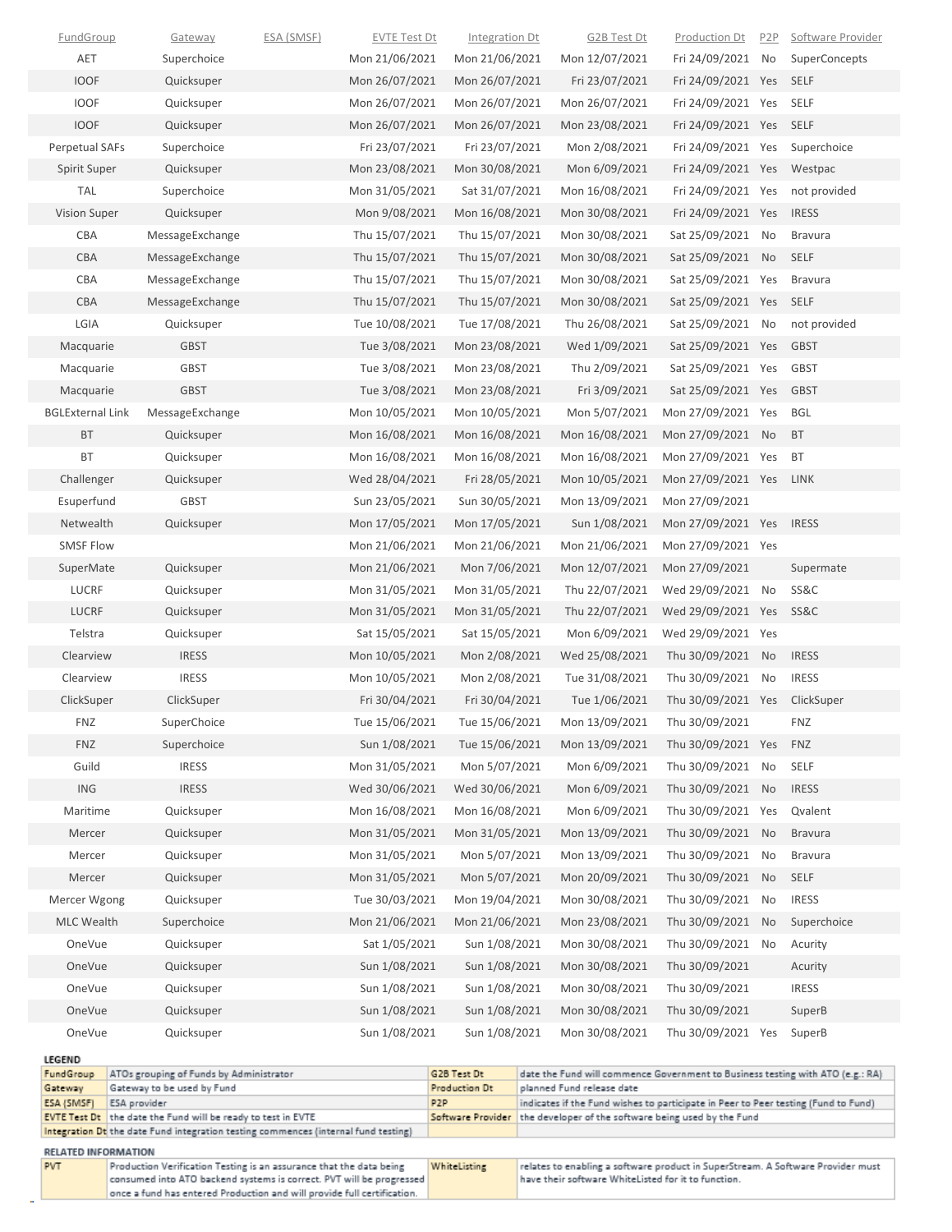| <b>FundGroup</b>           | Gateway                                                                             | <u>ESA (SMSF)</u> | <b>EVTE Test Dt</b> | <b>Integration Dt</b> | <b>G2B Test Dt</b>        | <b>Production Dt</b>                                                                                                                                         | P <sub>2</sub> P | Software Provider    |
|----------------------------|-------------------------------------------------------------------------------------|-------------------|---------------------|-----------------------|---------------------------|--------------------------------------------------------------------------------------------------------------------------------------------------------------|------------------|----------------------|
| AET                        | Superchoice                                                                         |                   | Mon 21/06/2021      | Mon 21/06/2021        | Mon 12/07/2021            | Fri 24/09/2021 No                                                                                                                                            |                  | <b>SuperConcepts</b> |
| <b>IOOF</b>                | Quicksuper                                                                          |                   | Mon 26/07/2021      | Mon 26/07/2021        | Fri 23/07/2021            | Fri 24/09/2021 Yes                                                                                                                                           |                  | SELF                 |
| <b>IOOF</b>                | Quicksuper                                                                          |                   | Mon 26/07/2021      | Mon 26/07/2021        | Mon 26/07/2021            | Fri 24/09/2021 Yes                                                                                                                                           |                  | SELF                 |
| <b>IOOF</b>                | Quicksuper                                                                          |                   | Mon 26/07/2021      | Mon 26/07/2021        | Mon 23/08/2021            | Fri 24/09/2021 Yes                                                                                                                                           |                  | SELF                 |
| Perpetual SAFs             | Superchoice                                                                         |                   | Fri 23/07/2021      | Fri 23/07/2021        | Mon 2/08/2021             | Fri 24/09/2021 Yes                                                                                                                                           |                  | Superchoice          |
| Spirit Super               | Quicksuper                                                                          |                   | Mon 23/08/2021      | Mon 30/08/2021        | Mon 6/09/2021             | Fri 24/09/2021 Yes                                                                                                                                           |                  | Westpac              |
| TAL                        | Superchoice                                                                         |                   | Mon 31/05/2021      | Sat 31/07/2021        | Mon 16/08/2021            | Fri 24/09/2021 Yes                                                                                                                                           |                  | not provided         |
| Vision Super               | Quicksuper                                                                          |                   | Mon 9/08/2021       | Mon 16/08/2021        | Mon 30/08/2021            | Fri 24/09/2021 Yes                                                                                                                                           |                  | <b>IRESS</b>         |
| CBA                        | MessageExchange                                                                     |                   | Thu 15/07/2021      | Thu 15/07/2021        | Mon 30/08/2021            | Sat 25/09/2021 No                                                                                                                                            |                  | <b>Bravura</b>       |
| CBA                        | MessageExchange                                                                     |                   | Thu 15/07/2021      | Thu 15/07/2021        | Mon 30/08/2021            | Sat 25/09/2021 No                                                                                                                                            |                  | SELF                 |
| CBA                        | MessageExchange                                                                     |                   | Thu 15/07/2021      | Thu 15/07/2021        | Mon 30/08/2021            | Sat 25/09/2021 Yes                                                                                                                                           |                  | <b>Bravura</b>       |
| <b>CBA</b>                 | MessageExchange                                                                     |                   | Thu 15/07/2021      | Thu 15/07/2021        | Mon 30/08/2021            | Sat 25/09/2021 Yes                                                                                                                                           |                  | <b>SELF</b>          |
| LGIA                       | Quicksuper                                                                          |                   | Tue 10/08/2021      | Tue 17/08/2021        | Thu 26/08/2021            | Sat 25/09/2021 No                                                                                                                                            |                  | not provided         |
| Macquarie                  | <b>GBST</b>                                                                         |                   | Tue 3/08/2021       | Mon 23/08/2021        | Wed 1/09/2021             | Sat 25/09/2021 Yes                                                                                                                                           |                  | <b>GBST</b>          |
| Macquarie                  | <b>GBST</b>                                                                         |                   | Tue 3/08/2021       | Mon 23/08/2021        | Thu 2/09/2021             | Sat 25/09/2021 Yes                                                                                                                                           |                  | GBST                 |
| Macquarie                  | <b>GBST</b>                                                                         |                   | Tue 3/08/2021       | Mon 23/08/2021        | Fri 3/09/2021             | Sat 25/09/2021 Yes                                                                                                                                           |                  | <b>GBST</b>          |
| <b>BGLExternal Link</b>    | MessageExchange                                                                     |                   | Mon 10/05/2021      | Mon 10/05/2021        | Mon 5/07/2021             | Mon 27/09/2021 Yes                                                                                                                                           |                  | <b>BGL</b>           |
| BT                         | Quicksuper                                                                          |                   | Mon 16/08/2021      | Mon 16/08/2021        | Mon 16/08/2021            | Mon 27/09/2021 No                                                                                                                                            |                  | <b>BT</b>            |
| BT                         | Quicksuper                                                                          |                   | Mon 16/08/2021      | Mon 16/08/2021        | Mon 16/08/2021            | Mon 27/09/2021 Yes                                                                                                                                           |                  | <b>BT</b>            |
| Challenger                 | Quicksuper                                                                          |                   | Wed 28/04/2021      | Fri 28/05/2021        | Mon 10/05/2021            | Mon 27/09/2021 Yes                                                                                                                                           |                  | <b>LINK</b>          |
| Esuperfund                 | <b>GBST</b>                                                                         |                   | Sun 23/05/2021      | Sun 30/05/2021        | Mon 13/09/2021            | Mon 27/09/2021                                                                                                                                               |                  |                      |
| Netwealth                  | Quicksuper                                                                          |                   | Mon 17/05/2021      | Mon 17/05/2021        | Sun 1/08/2021             | Mon 27/09/2021 Yes IRESS                                                                                                                                     |                  |                      |
| <b>SMSF Flow</b>           |                                                                                     |                   | Mon 21/06/2021      | Mon 21/06/2021        | Mon 21/06/2021            | Mon 27/09/2021 Yes                                                                                                                                           |                  |                      |
| SuperMate                  | Quicksuper                                                                          |                   | Mon 21/06/2021      | Mon 7/06/2021         | Mon 12/07/2021            | Mon 27/09/2021                                                                                                                                               |                  | Supermate            |
| <b>LUCRF</b>               | Quicksuper                                                                          |                   | Mon 31/05/2021      | Mon 31/05/2021        | Thu 22/07/2021            | Wed 29/09/2021                                                                                                                                               | No               | <b>SS&amp;C</b>      |
| <b>LUCRF</b>               | Quicksuper                                                                          |                   | Mon 31/05/2021      | Mon 31/05/2021        | Thu 22/07/2021            | Wed 29/09/2021 Yes                                                                                                                                           |                  | SS&C                 |
| Telstra                    | Quicksuper                                                                          |                   | Sat 15/05/2021      | Sat 15/05/2021        | Mon 6/09/2021             | Wed 29/09/2021 Yes                                                                                                                                           |                  |                      |
| Clearview                  | <b>IRESS</b>                                                                        |                   | Mon 10/05/2021      | Mon 2/08/2021         | Wed 25/08/2021            | Thu 30/09/2021                                                                                                                                               | <b>No</b>        | <b>IRESS</b>         |
| Clearview                  | <b>IRESS</b>                                                                        |                   | Mon 10/05/2021      | Mon 2/08/2021         | Tue 31/08/2021            | Thu 30/09/2021 No                                                                                                                                            |                  | <b>IRESS</b>         |
| ClickSuper                 | ClickSuper                                                                          |                   | Fri 30/04/2021      | Fri 30/04/2021        | Tue 1/06/2021             | Thu 30/09/2021 Yes                                                                                                                                           |                  | ClickSuper           |
| <b>FNZ</b>                 | SuperChoice                                                                         |                   | Tue 15/06/2021      | Tue 15/06/2021        | Mon 13/09/2021            | Thu 30/09/2021                                                                                                                                               |                  | <b>FNZ</b>           |
| <b>FNZ</b>                 | Superchoice                                                                         |                   | Sun 1/08/2021       | Tue 15/06/2021        | Mon 13/09/2021            | Thu 30/09/2021 Yes                                                                                                                                           |                  | <b>FNZ</b>           |
| Guild                      | <b>IRESS</b>                                                                        |                   | Mon 31/05/2021      | Mon 5/07/2021         | Mon 6/09/2021             | Thu 30/09/2021                                                                                                                                               | No               | SELF                 |
| ING                        | <b>IRESS</b>                                                                        |                   | Wed 30/06/2021      | Wed 30/06/2021        | Mon 6/09/2021             | Thu 30/09/2021                                                                                                                                               | No               | <b>IRESS</b>         |
| Maritime                   | Quicksuper                                                                          |                   | Mon 16/08/2021      | Mon 16/08/2021        | Mon 6/09/2021             | Thu 30/09/2021 Yes                                                                                                                                           |                  | Qvalent              |
| Mercer                     | Quicksuper                                                                          |                   | Mon 31/05/2021      | Mon 31/05/2021        | Mon 13/09/2021            | Thu 30/09/2021                                                                                                                                               | <b>No</b>        | <b>Bravura</b>       |
| Mercer                     | Quicksuper                                                                          |                   | Mon 31/05/2021      | Mon 5/07/2021         | Mon 13/09/2021            | Thu 30/09/2021                                                                                                                                               | No               | <b>Bravura</b>       |
| Mercer                     | Quicksuper                                                                          |                   | Mon 31/05/2021      | Mon 5/07/2021         | Mon 20/09/2021            | Thu 30/09/2021                                                                                                                                               | <b>No</b>        | SELF                 |
| Mercer Wgong               | Quicksuper                                                                          |                   | Tue 30/03/2021      | Mon 19/04/2021        | Mon 30/08/2021            | Thu 30/09/2021                                                                                                                                               | No               | <b>IRESS</b>         |
| <b>MLC Wealth</b>          | Superchoice                                                                         |                   | Mon 21/06/2021      | Mon 21/06/2021        | Mon 23/08/2021            | Thu 30/09/2021                                                                                                                                               | <b>No</b>        | Superchoice          |
| OneVue                     | Quicksuper                                                                          |                   | Sat 1/05/2021       | Sun 1/08/2021         | Mon 30/08/2021            | Thu 30/09/2021 No                                                                                                                                            |                  | Acurity              |
| OneVue                     | Quicksuper                                                                          |                   | Sun 1/08/2021       | Sun 1/08/2021         | Mon 30/08/2021            | Thu 30/09/2021                                                                                                                                               |                  | Acurity              |
| OneVue                     | Quicksuper                                                                          |                   | Sun 1/08/2021       | Sun 1/08/2021         | Mon 30/08/2021            | Thu 30/09/2021                                                                                                                                               |                  | <b>IRESS</b>         |
| OneVue                     | Quicksuper                                                                          |                   | Sun 1/08/2021       | Sun 1/08/2021         | Mon 30/08/2021            | Thu 30/09/2021                                                                                                                                               |                  | SuperB               |
| OneVue                     | Quicksuper                                                                          |                   | Sun 1/08/2021       | Sun 1/08/2021         | Mon 30/08/2021            | Thu 30/09/2021 Yes                                                                                                                                           |                  | SuperB               |
|                            |                                                                                     |                   |                     |                       |                           |                                                                                                                                                              |                  |                      |
| <b>LEGEND</b><br>FundGroup | ATOs grouping of Funds by Administrator                                             |                   |                     | G2B Test Dt           |                           | date the Fund will commence Government to Business testing with ATO (e.g.: RA)                                                                               |                  |                      |
| Gateway                    | Gateway to be used by Fund                                                          |                   |                     | Production Dt         | planned Fund release date |                                                                                                                                                              |                  |                      |
| ESA (SMSF)                 | ESA provider<br><b>EVTE Test Dt</b> the date the Fund will be ready to test in EVTE |                   |                     | P <sub>2</sub> P      |                           | indicates if the Fund wishes to participate in Peer to Peer testing (Fund to Fund)<br>Software Provider the developer of the software being used by the Fund |                  |                      |
|                            | Integration Dt the date Fund integration testing commences (internal fund testing)  |                   |                     |                       |                           |                                                                                                                                                              |                  |                      |
| RELATED INFORMATION        |                                                                                     |                   |                     |                       |                           |                                                                                                                                                              |                  |                      |

| <b>PVT</b> | Production Verification Testing is an assurance that the data being     | WhiteListing | relates to enabling a software product in SuperStream. A Software Provider must |
|------------|-------------------------------------------------------------------------|--------------|---------------------------------------------------------------------------------|
|            | consumed into ATO backend systems is correct. PVT will be progressed    |              | have their software WhiteListed for it to function.                             |
|            | once a fund has entered Production and will provide full certification. |              |                                                                                 |